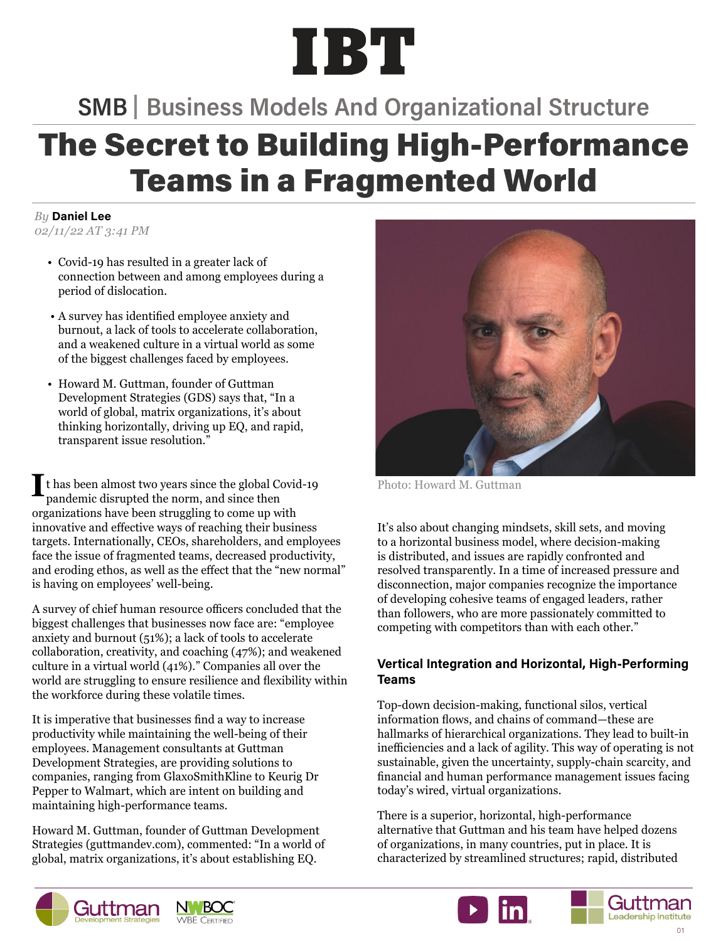# IBT

### **SMB | Business Models And Organizational Structure**

## **The Secret to Building High-Performance** Teams in a Fragmented World

*By* Daniel Lee *02/11/22 AT 3:41 PM*

- Covid-19 has resulted in a greater lack of connection between and among employees during a period of dislocation.
- A survey has identified employee anxiety and burnout, a lack of tools to accelerate collaboration, and a weakened culture in a virtual world as some of the biggest challenges faced by employees.
- Howard M. Guttman, founder of Guttman Development Strategies (GDS) says that, "In a world of global, matrix organizations, it's about thinking horizontally, driving up EQ, and rapid, transparent issue resolution."

I thas been almost two years since the global Covid-19 Photo: Howard M. Guttman pandemic disrupted the norm, and since then pandemic disrupted the norm, and since then organizations have been struggling to come up with innovative and effective ways of reaching their business targets. Internationally, CEOs, shareholders, and employees face the issue of fragmented teams, decreased productivity, and eroding ethos, as well as the effect that the "new normal" is having on employees' well-being.

A survey of chief human resource officers concluded that the biggest challenges that businesses now face are: "employee anxiety and burnout (51%); a lack of tools to accelerate collaboration, creativity, and coaching (47%); and weakened culture in a virtual world (41%)." Companies all over the world are struggling to ensure resilience and flexibility within the workforce during these volatile times.

It is imperative that businesses find a way to increase productivity while maintaining the well-being of their employees. Management consultants at Guttman Development Strategies, are providing solutions to companies, ranging from GlaxoSmithKline to Keurig Dr Pepper to Walmart, which are intent on building and maintaining high-performance teams.

Howard M. Guttman, founder of Guttman Development Strategies (guttmandev.com), commented: "In a world of global, matrix organizations, it's about establishing EQ.



It's also about changing mindsets, skill sets, and moving to a horizontal business model, where decision-making is distributed, and issues are rapidly confronted and resolved transparently. In a time of increased pressure and disconnection, major companies recognize the importance of developing cohesive teams of engaged leaders, rather than followers, who are more passionately committed to competing with competitors than with each other."

#### Vertical Integration and Horizontal, High-Performing Teams

Top-down decision-making, functional silos, vertical information flows, and chains of command—these are hallmarks of hierarchical organizations. They lead to built-in inefficiencies and a lack of agility. This way of operating is not sustainable, given the uncertainty, supply-chain scarcity, and financial and human performance management issues facing today's wired, virtual organizations.

There is a superior, horizontal, high-performance alternative that Guttman and his team have helped dozens of organizations, in many countries, put in place. It is characterized by streamlined structures; rapid, distributed